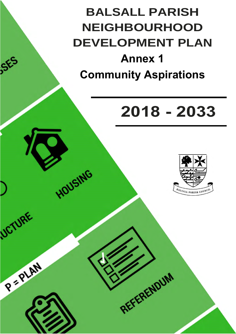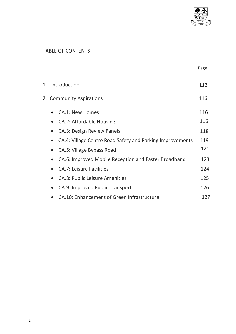

#### TABLE OF CONTENTS

|    |                          |                                                           | Page |  |  |  |
|----|--------------------------|-----------------------------------------------------------|------|--|--|--|
| 1. | Introduction             |                                                           |      |  |  |  |
|    | 2. Community Aspirations |                                                           |      |  |  |  |
|    |                          | <b>CA.1: New Homes</b>                                    | 116  |  |  |  |
|    |                          | <b>CA.2: Affordable Housing</b>                           | 116  |  |  |  |
|    |                          | <b>CA.3: Design Review Panels</b>                         | 118  |  |  |  |
|    |                          | CA.4: Village Centre Road Safety and Parking Improvements | 119  |  |  |  |
|    |                          | CA.5: Village Bypass Road                                 | 121  |  |  |  |
|    | $\bullet$                | CA.6: Improved Mobile Reception and Faster Broadband      | 123  |  |  |  |
|    |                          | <b>CA.7: Leisure Facilities</b>                           | 124  |  |  |  |
|    |                          | <b>CA.8: Public Leisure Amenities</b>                     | 125  |  |  |  |
|    |                          | CA.9: Improved Public Transport                           | 126  |  |  |  |
|    |                          | <b>CA.10: Enhancement of Green Infrastructure</b>         | 127  |  |  |  |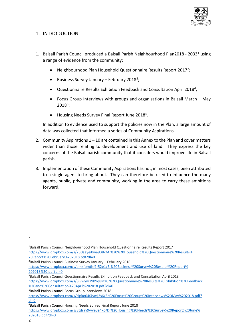

#### 1. INTRODUCTION

- 1. Balsall Parish Council produced a Balsall Parish Neighbourhood Plan2018 2033[1](#page-2-0) using a range of evidence from the community:
	- Neighbourhood Plan Household Questionnaire Results Report 2017[2](#page-2-1);
	- Business Survey January February 2018<sup>[3](#page-2-2)</sup>;
	- Questionnaire Results Exhibition Feedback and Consultation April 2018<sup>[4](#page-2-3)</sup>;
	- Focus Group Interviews with groups and organisations in Balsall March May 2018[5;](#page-2-4)
	- Housing Needs Survey Final Report June 2018<sup>[6](#page-2-5)</sup>.

In addition to evidence used to support the policies now in the Plan, a large amount of data was collected that informed a series of Community Aspirations.

- 2. Community Aspirations 1 10 are contained in this Annex to the Plan and cover matters wider than those relating to development and use of land. They express the key concerns of the Balsall parish community that it considers would improve life in Balsall parish.
- 3. Implementation of these Community Aspirations has not, in most cases, been attributed to a single agent to bring about. They can therefore be used to influence the many agents, public, private and community, working in the area to carry these ambitions forward.

<span id="page-2-0"></span>1

<span id="page-2-2"></span>3 Balsall Parish Council Business Survey January – February 2018

[https://www.dropbox.com/s/emxfomthf9r52e1/B.%20Business%20Survey%20Results%20Report%](https://www.dropbox.com/s/emxfomthf9r52e1/B.%20Business%20Survey%20Results%20Report%25) 202018%20.pdf?dl=0

<span id="page-2-1"></span><sup>2</sup> Balsall Parish Council Neighbourhood Plan Household Questionnaire Results Report 2017 [https://www.dropbox.com/s/2u0aayei0wa938x/A.%20%20Household%20Questionnaire%20Results%](https://www.dropbox.com/s/2u0aayei0wa938x/A.%20%20Household%20Questionnaire%20Results%25) 20Report%20February%202018.pdf?dl=0

<span id="page-2-3"></span><sup>4</sup> Balsall Parish Council Questionnaire Results Exhibition Feedback and Consultation April 2018 <https://www.dropbox.com/s/8i9wyycz9h9q8kz/C.%20Questionnaire%20Results%20Exhibition%20Feedback> %20and%20Consultation%20April%202018.pdf?dl=0

<span id="page-2-4"></span><sup>5</sup> Balsall Parish Council Focus Group Interviews 2018 [https://www.dropbox.com/s/cipko04f4vmj2s6/E.%20Focus%20Group%20Interviews%20May%202018.pdf?](https://www.dropbox.com/s/cipko04f4vmj2s6/E.%20Focus%20Group%20Interviews%20May%202018.pdf) dl=0

<span id="page-2-5"></span><sup>6</sup> Balsall Parish Council Housing Needs Survey Final Report June 2018 [https://www.dropbox.com/s/8tdray9wve3e4ko/D.%20Housing%20Needs%20Survey%20Report%20June%](https://www.dropbox.com/s/8tdray9wve3e4ko/D.%20Housing%20Needs%20Survey%20Report%20June%25)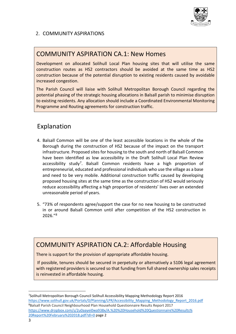

#### 2. COMMUNITY ASPIRATIONS

#### COMMUNITY ASPIRATION CA.1: New Homes

Development on allocated Solihull Local Plan housing sites that will utilise the same construction routes as HS2 contractors should be avoided at the same time as HS2 construction because of the potential disruption to existing residents caused by avoidable increased congestion.

The Parish Council will liaise with Solihull Metropolitan Borough Council regarding the potential phasing of the strategic housing allocations in Balsall parish to minimise disruption to existing residents. Any allocation should include a Coordinated Environmental Monitoring Programme and Routing agreements for construction traffic.

### Explanation

- 4. Balsall Common will be one of the least accessible locations in the whole of the Borough during the construction of HS2 because of the impact on the transport infrastructure. Proposed sites for housing to the south and north of Balsall Common have been identified as low accessibility in the Draft Solihull Local Plan Review accessibility study[7.](#page-3-0) Balsall Common residents have a high proportion of entrepreneurial, educated and professional individuals who use the village as a base and need to be very mobile. Additional construction traffic caused by developing proposed housing sites at the same time as the construction of HS2 would seriously reduce accessibility affecting a high proportion of residents' lives over an extended unreasonable period of years.
- 5. "73% of respondents agree/support the case for no new housing to be constructed in or around Balsall Common until after competition of the HS2 construction in 2026."[8](#page-3-1)

#### COMMUNITY ASPIRATION CA.2: Affordable Housing

There is support for the provision of appropriate affordable housing.

If possible, tenures should be secured in perpetuity or alternatively a S106 legal agreement with registered providers is secured so that funding from full shared ownership sales receipts is reinvested in affordable housing.

<span id="page-3-1"></span><span id="page-3-0"></span><sup>7</sup> Solihull Metropolitan Borough Council Solihull Accessibility Mapping Methodology Report 2016 [https://www.solihull.gov.uk/Portals/0/Planning/LPR/Accessibility\\_Mapping\\_Methodology\\_Report\\_2016.pdf](https://www.solihull.gov.uk/Portals/0/Planning/LPR/Accessibility_Mapping_Methodology_Report_2016.pdf) 8 Balsall Parish Council Neighbourhood Plan Household Questionnaire Results Report 2017 [https://www.dropbox.com/s/2u0aayei0wa938x/A.%20%20Household%20Questionnaire%20Results%](https://www.dropbox.com/s/2u0aayei0wa938x/A.%20%20Household%20Questionnaire%20Results%25) 20Report%20February%202018.pdf?dl=0 page 2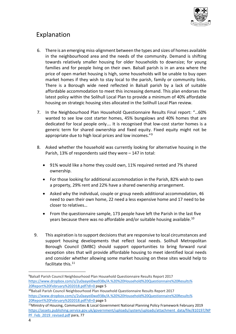

- 6. There is an emerging miss-alignment between the types and sizes of homes available in the neighbourhood area and the needs of the community. Demand is shifting towards relatively smaller housing for older households to downsize; for young families and for people living on their own. Balsall parish is in an area where the price of open market housing is high, some households will be unable to buy open market homes if they wish to stay local to the parish, family or community links. There is a Borough wide need reflected in Balsall parish by a lack of suitable affordable accommodation to meet this increasing demand. This plan endorses the latest policy within the Solihull Local Plan to provide a minimum of 40% affordable housing on strategic housing sites allocated in the Solihull Local Plan review.
- 7. In the Neighbourhood Plan Household Questionnaire Results Final report: "…60% wanted to see low cost starter homes, 45% bungalows and 40% homes that are dedicated for local people only…. It is recognised that low-cost starter homes is a generic term for shared ownership and fixed equity. Fixed equity might not be appropriate due to high local prices and low incomes."<sup>[9](#page-4-0)</sup>
- 8. Asked whether the household was currently looking for alternative housing in the Parish, 13% of respondents said they were – 147 in total:
	- 91% would like a home they could own, 11% required rented and 7% shared ownership.
	- For those looking for additional accommodation in the Parish, 82% wish to own a property, 29% rent and 22% have a shared ownership arrangement.
	- Asked why the individual, couple or group needs additional accommodation, 46 need to own their own home, 22 need a less expensive home and 17 need to be closer to relatives…
	- From the questionnaire sample, 173 people have left the Parish in the last five years because there was no affordable and/or suitable housing available.<sup>10</sup>
- 9. This aspiration is to support decisions that are responsive to local circumstances and support housing developments that reflect local needs. Solihull Metropolitan Borough Council (SMBC) should support opportunities to bring forward rural exception sites that will provide affordable housing to meet identified local needs and consider whether allowing some market housing on these sites would help to facilitate this.<sup>[11](#page-4-2)</sup>

<span id="page-4-0"></span><sup>9</sup> Balsall Parish Council Neighbourhood Plan Household Questionnaire Results Report 2017 [https://www.dropbox.com/s/2u0aayei0wa938x/A.%20%20Household%20Questionnaire%20Results%](https://www.dropbox.com/s/2u0aayei0wa938x/A.%20%20Household%20Questionnaire%20Results%25) 20Report%20February%202018.pdf?dl=0 page 5

<span id="page-4-1"></span><sup>10</sup>Balsall Parish Council Neighbourhood Plan Household Questionnaire Results Report 2017 [https://www.dropbox.com/s/2u0aayei0wa938x/A.%20%20Household%20Questionnaire%20Results%](https://www.dropbox.com/s/2u0aayei0wa938x/A.%20%20Household%20Questionnaire%20Results%25) 20Report%20February%202018.pdf?dl=0 page 5

<span id="page-4-2"></span><sup>11</sup>Ministry of Housing, Communities & Local Government National Planning Policy Framework February 2019 [https://assets.publishing.service.gov.uk/government/uploads/system/uploads/attachment\\_data/file/810197/NP](https://assets.publishing.service.gov.uk/government/uploads/system/uploads/attachment_data/file/810197/NPPF_Feb_2019_revised.pdf) [PF\\_Feb\\_2019\\_revised.pdf](https://assets.publishing.service.gov.uk/government/uploads/system/uploads/attachment_data/file/810197/NPPF_Feb_2019_revised.pdf) para, 77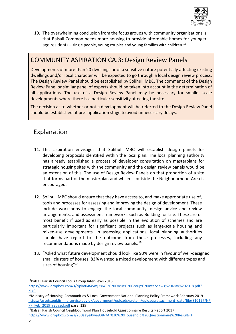

10. The overwhelming conclusion from the focus groups with community organisations is that Balsall Common needs more housing to provide affordable homes for younger age residents – single people, young couples and young families with children.<sup>[12](#page-5-0)</sup>

#### COMMUNITY ASPIRATION CA.3: Design Review Panels

Developments of more than 20 dwellings or of a sensitive nature potentially affecting existing dwellings and/or local character will be expected to go through a local design review process. The Design Review Panel should be established by Solihull MBC. The comments of the Design Review Panel or similar panel of experts should be taken into account in the determination of all applications. The use of a Design Review Panel may be necessary for smaller scale developments where there is a particular sensitivity affecting the site.

The decision as to whether or not a development will be referred to the Design Review Panel should be established at pre- application stage to avoid unnecessary delays.

- 11. This aspiration envisages that Solihull MBC will establish design panels for developing proposals identified within the local plan. The local planning authority has already established a process of developer consultation on masterplans for strategic housing sites with the community and the design review panels would be an extension of this. The use of Design Review Panels on that proportion of a site that forms part of the masterplan and which is outside the Neighbourhood Area is encouraged.
- 12. Solihull MBC should ensure that they have access to, and make appropriate use of, tools and processes for assessing and improving the design of development. These include workshops to engage the local community, design advice and review arrangements, and assessment frameworks such as Building for Life. These are of most benefit if used as early as possible in the evolution of schemes and are particularly important for significant projects such as large-scale housing and mixed-use developments. In assessing applications, local planning authorities should have regard to the outcome from these processes, including any recommendations made by design review panels. $^{13}$  $^{13}$  $^{13}$
- 13. "Asked what future development should look like 93% were in favour of well-designed small clusters of houses, 83% wanted a mixed development with different types and sizes of housing"<sup>14</sup>

<span id="page-5-0"></span><sup>12</sup>Balsall Parish Council Focus Group Interviews 2018

[https://www.dropbox.com/s/cipko04f4vmj2s6/E.%20Focus%20Group%20Interviews%20May%202018.pdf?](https://www.dropbox.com/s/cipko04f4vmj2s6/E.%20Focus%20Group%20Interviews%20May%202018.pdf)  $dl = 0$ 

<span id="page-5-1"></span><sup>13</sup>Ministry of Housing, Communities & Local Government National Planning Policy Framework February 2019 [https://assets.publishing.service.gov.uk/government/uploads/system/uploads/attachment\\_data/file/810197/NP](https://assets.publishing.service.gov.uk/government/uploads/system/uploads/attachment_data/file/810197/NPPF_Feb_2019_revised.pdf) [PF\\_Feb\\_2019\\_revised.pdf](https://assets.publishing.service.gov.uk/government/uploads/system/uploads/attachment_data/file/810197/NPPF_Feb_2019_revised.pdf) para, 129

<span id="page-5-2"></span><sup>14</sup>Balsall Parish Council Neighbourhood Plan Household Questionnaire Results Report 2017 [https://www.dropbox.com/s/2u0aayei0wa938x/A.%20%20Household%20Questionnaire%20Results%](https://www.dropbox.com/s/2u0aayei0wa938x/A.%20%20Household%20Questionnaire%20Results%25)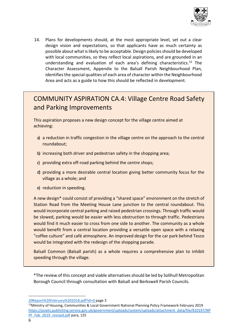

14. Plans for developments should, at the most appropriate level, set out a clear design vision and expectations, so that applicants have as much certainty as possible about what is likely to be acceptable. Design policies should be developed with local communities, so they reflect local aspirations, and are grounded in an understanding and evaluation of each area's defining characteristics.[15](#page-6-0) The Character Assessment, Appendix to the Balsall Parish Neighbourhood Plan, identifies the special qualities of each area of character within the Neighbourhood Area and acts as a guide to how this should be reflected in development.

## COMMUNITY ASPIRATION CA.4: Village Centre Road Safety and Parking Improvements

This aspiration proposes a new design concept for the village centre aimed at achieving:

- a) a reduction in traffic congestion in the village centre on the approach to the central roundabout;
- b) increasing both driver and pedestrian safety in the shopping area;
- c) providing extra off-road parking behind the centre shops;
- d) providing a more desirable central location giving better community focus for the village as a whole; and
- e) reduction in speeding.

A new design\* could consist of providing a "shared space" environment on the stretch of Station Road from the Meeting House Lane junction to the central roundabout. This would incorporate central parking and raised pedestrian crossings. Through traffic would be slowed, parking would be easier with less obstruction to through traffic. Pedestrians would find it much easier to cross from one side to another. The community as a whole would benefit from a central location providing a versatile open space with a relaxing "coffee culture" and café atmosphere. An improved design for the car park behind Tesco would be integrated with the redesign of the shopping parade.

Balsall Common (Balsall parish) as a whole requires a comprehensive plan to inhibit speeding through the village.

\*The review of this concept and viable alternatives should be led by Solihull Metropolitan Borough Council through consultation with Balsall and Berkswell Parish Councils.

<sup>20</sup>Report%20February%202018.pdf?dl=0 page 3

<span id="page-6-0"></span><sup>15</sup>Ministry of Housing, Communities & Local Government National Planning Policy Framework February 2019 [https://assets.publishing.service.gov.uk/government/uploads/system/uploads/attachment\\_data/file/810197/NP](https://assets.publishing.service.gov.uk/government/uploads/system/uploads/attachment_data/file/810197/NPPF_Feb_2019_revised.pdf) [PF\\_Feb\\_2019\\_revised.pdf](https://assets.publishing.service.gov.uk/government/uploads/system/uploads/attachment_data/file/810197/NPPF_Feb_2019_revised.pdf) para, 125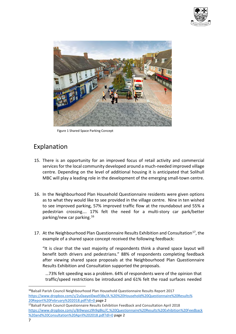



Figure 1 Shared Space Parking Concept

## Explanation

- 15. There is an opportunity for an improved focus of retail activity and commercial services for the local community developed around a much-needed improved village centre. Depending on the level of additional housing it is anticipated that Solihull MBC will play a leading role in the development of the emerging small-town centre.
- 16. In the Neighbourhood Plan Household Questionnaire residents were given options as to what they would like to see provided in the village centre. Nine in ten wished to see improved parking, 57% improved traffic flow at the roundabout and 55% a pedestrian crossing…. 17% felt the need for a multi-story car park/better parking/new car parking.[16](#page-7-0)
- 17. At the Neighbourhood Plan Questionnaire Results Exhibition and Consultation[17,](#page-7-1) the example of a shared space concept received the following feedback:

"It is clear that the vast majority of respondents think a shared space layout will benefit both drivers and pedestrians." 88% of respondents completing feedback after viewing shared space proposals at the Neighbourhood Plan Questionnaire Results Exhibition and Consultation supported the proposals.

…73% felt speeding was a problem. 64% of respondents were of the opinion that traffic/speed restrictions be introduced and 61% felt the road surfaces needed

<span id="page-7-1"></span> $17$ Balsall Parish Council Questionnaire Results Exhibition Feedback and Consultation April 2018 <https://www.dropbox.com/s/8i9wyycz9h9q8kz/C.%20Questionnaire%20Results%20Exhibition%20Feedback> %20and%20Consultation%20April%202018.pdf?dl=0 page 2

<span id="page-7-0"></span><sup>&</sup>lt;sup>16</sup>Balsall Parish Council Neighbourhood Plan Household Questionnaire Results Report 2017 [https://www.dropbox.com/s/2u0aayei0wa938x/A.%20%20Household%20Questionnaire%20Results%](https://www.dropbox.com/s/2u0aayei0wa938x/A.%20%20Household%20Questionnaire%20Results%25)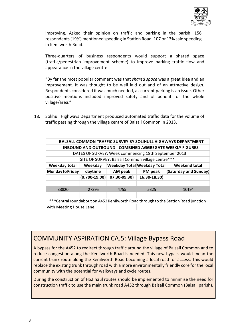

improving. Asked their opinion on traffic and parking in the parish, 156 respondents (19%) mentioned speeding in Station Road, 107 or 13% said speeding in Kenilworth Road.

Three-quarters of business respondents would support a shared space (traffic/pedestrian improvement scheme) to improve parking traffic flow and appearance in the village centre.

"By far the most popular comment was that *shared space* was a great idea and an improvement. It was thought to be well laid out and of an attractive design. Respondents considered it was much needed, as current parking is an issue. Other positive mentions included improved safety and of benefit for the whole village/area."

18. Solihull Highways Department produced automated traffic data for the volume of traffic passing through the village centre of Balsall Common in 2013.

| <b>BALSALL COMMON TRAFFIC SURVEY BY SOLIHULL HIGHWAYS DEPARTMENT</b>               |                                                  |              |                                    |                       |  |  |  |  |  |  |
|------------------------------------------------------------------------------------|--------------------------------------------------|--------------|------------------------------------|-----------------------|--|--|--|--|--|--|
| <b>INBOUND AND OUTBOUND - COMBINED AGGREGATE WEEKLY FIGURES</b>                    |                                                  |              |                                    |                       |  |  |  |  |  |  |
| DATES OF SURVEY: Week commencing 18th September 2013                               |                                                  |              |                                    |                       |  |  |  |  |  |  |
|                                                                                    | SITE OF SURVEY: Balsall Common village centre*** |              |                                    |                       |  |  |  |  |  |  |
| Weekday total                                                                      | Weekday                                          |              | <b>Weekday Total Weekday Total</b> | <b>Weekend total</b>  |  |  |  |  |  |  |
| Monday to Friday                                                                   | daytime                                          | AM peak      | PM peak                            | (Saturday and Sunday) |  |  |  |  |  |  |
|                                                                                    | $(0.700 - 19.00)$                                | 07.30-09.30) | 16.30-18.30)                       |                       |  |  |  |  |  |  |
|                                                                                    |                                                  |              |                                    |                       |  |  |  |  |  |  |
| 33820                                                                              | 27395                                            | 4755         | 5325                               | 10194                 |  |  |  |  |  |  |
|                                                                                    |                                                  |              |                                    |                       |  |  |  |  |  |  |
| ***Central roundabout on A452 Kenilworth Road through to the Station Road junction |                                                  |              |                                    |                       |  |  |  |  |  |  |
| with Meeting House Lane                                                            |                                                  |              |                                    |                       |  |  |  |  |  |  |

#### COMMUNITY ASPIRATION CA.5: Village Bypass Road

A bypass for the A452 to redirect through traffic around the village of Balsall Common and to reduce congestion along the Kenilworth Road is needed. This new bypass would mean the current trunk route along the Kenilworth Road becoming a local road for access. This would replace the existing trunk through road with a more environmentally friendly core for the local community with the potential for walkways and cycle routes.

During the construction of HS2 haul routes should be implemented to minimise the need for construction traffic to use the main trunk road A452 through Balsall Common (Balsall parish).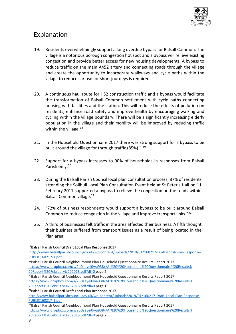

- 19. Residents overwhelmingly support a long overdue bypass for Balsall Common. The village is a notorious borough congestion hot spot and a bypass will relieve existing congestion and provide better access for new housing developments. A bypass to reduce traffic on the main A452 artery and connecting roads through the village and create the opportunity to incorporate walkways and cycle paths within the village to reduce car use for short journeys is required.
- 20. A continuous haul route for HS2 construction traffic and a bypass would facilitate the transformation of Balsall Common settlement with cycle paths connecting housing with facilities and the station. This will reduce the effects of pollution on residents, enhance road safety and improve health by encouraging walking and cycling within the village boundary. There will be a significantly increasing elderly population in the village and their mobility will be improved by reducing traffic within the village. $18$
- 21. In the Household Questionnaire 2017 there was strong support for a bypass to be built around the village for through traffic (85%)." <sup>[19](#page-9-1)</sup>
- 22. Support for a bypass increases to 90% of households in responses from Balsall Parish only.<sup>[20](#page-9-2)</sup>
- 23. During the Balsall Parish Council local plan consultation process, 87% of residents attending the Solihull Local Plan Consultation Event held at St Peter's Hall on 11 February 2017 supported a bypass to relieve the congestion on the roads within Balsall Common village.<sup>[21](#page-9-3)</sup>
- 24. "72% of business respondents would support a bypass to be built around Balsall Common to reduce congestion in the village and improve transport links."[22](#page-9-4)
- 25. A third of businesses felt traffic in the area affected their business. A fifth thought their business suffered from transport issues as a result of being located in the Plan area.

<span id="page-9-0"></span><sup>18</sup>Balsall Parish Council Draft Local Plan Response 2017

[http://www.balsallparishcouncil.gov.uk/wp-content/uploads/2019/01/160217-Draft-Local-Plan-Response-](http://www.balsallparishcouncil.gov.uk/wp-content/uploads/2019/01/160217-Draft-Local-Plan-Response-PUBLIC160217-1.pdf)[PUBLIC160217-1.pdf](http://www.balsallparishcouncil.gov.uk/wp-content/uploads/2019/01/160217-Draft-Local-Plan-Response-PUBLIC160217-1.pdf)

<span id="page-9-1"></span><sup>&</sup>lt;sup>19</sup>Balsall Parish Council Neighbourhood Plan Household Questionnaire Results Report 2017 [https://www.dropbox.com/s/2u0aayei0wa938x/A.%20%20Household%20Questionnaire%20Results%](https://www.dropbox.com/s/2u0aayei0wa938x/A.%20%20Household%20Questionnaire%20Results%25) 20Report%20February%202018.pdf?dl=0 page 2<br><sup>20</sup>Balsall Parish Council Neighbourhood Plan Household Questionnaire Results Report 2017

<span id="page-9-2"></span>[https://www.dropbox.com/s/2u0aayei0wa938x/A.%20%20Household%20Questionnaire%20Results%](https://www.dropbox.com/s/2u0aayei0wa938x/A.%20%20Household%20Questionnaire%20Results%25) 20Report%20February%202018.pdf?dl=0 page 1

<span id="page-9-3"></span><sup>21</sup>Balsall Parish Council Draft Local Plan Response 2017

[http://www.balsallparishcouncil.gov.uk/wp-content/uploads/2019/01/160217-Draft-Local-Plan-Response-](http://www.balsallparishcouncil.gov.uk/wp-content/uploads/2019/01/160217-Draft-Local-Plan-Response-PUBLIC160217-1.pdf)[PUBLIC160217-1.pdf](http://www.balsallparishcouncil.gov.uk/wp-content/uploads/2019/01/160217-Draft-Local-Plan-Response-PUBLIC160217-1.pdf)

<span id="page-9-4"></span><sup>&</sup>lt;sup>22</sup>Balsall Parish Council Neighbourhood Plan Household Questionnaire Results Report 2017 [https://www.dropbox.com/s/2u0aayei0wa938x/A.%20%20Household%20Questionnaire%20Results%](https://www.dropbox.com/s/2u0aayei0wa938x/A.%20%20Household%20Questionnaire%20Results%25) 20Report%20February%202018.pdf?dl=0 page 2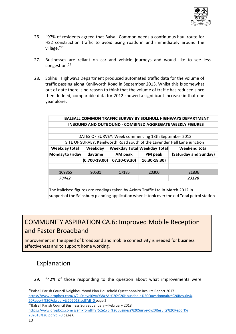

- 26. "97% of residents agreed that Balsall Common needs a continuous haul route for HS2 construction traffic to avoid using roads in and immediately around the village."<sup>[23](#page-10-0)</sup>
- 27. Businesses are reliant on car and vehicle journeys and would like to see less congestion.[24](#page-10-1)
- 28. Solihull Highways Department produced automated traffic data for the volume of traffic passing along Kenilworth Road in September 2013. Whilst this is somewhat out of date there is no reason to think that the volume of traffic has reduced since then. Indeed, comparable data for 2012 showed a significant increase in that one year alone:

| <b>BALSALL COMMON TRAFFIC SURVEY BY SOLIHULL HIGHWAYS DEPARTMENT</b>            |                   |              |                                    |                       |  |  |  |  |  |  |
|---------------------------------------------------------------------------------|-------------------|--------------|------------------------------------|-----------------------|--|--|--|--|--|--|
| <b>INBOUND AND OUTBOUND - COMBINED AGGREGATE WEEKLY FIGURES</b>                 |                   |              |                                    |                       |  |  |  |  |  |  |
|                                                                                 |                   |              |                                    |                       |  |  |  |  |  |  |
| DATES OF SURVEY: Week commencing 18th September 2013                            |                   |              |                                    |                       |  |  |  |  |  |  |
| SITE OF SURVEY: Kenilworth Road south of the Lavender Hall Lane junction        |                   |              |                                    |                       |  |  |  |  |  |  |
| <b>Weekday total</b>                                                            | Weekday           |              | <b>Weekday Total Weekday Total</b> | Weekend total         |  |  |  |  |  |  |
| Monday to Friday                                                                | daytime           | AM peak      | PM peak                            | (Saturday and Sunday) |  |  |  |  |  |  |
|                                                                                 | $(0.700 - 19.00)$ | 07.30-09.30) | 16.30-18.30)                       |                       |  |  |  |  |  |  |
|                                                                                 |                   |              |                                    |                       |  |  |  |  |  |  |
| 109865                                                                          | 90531             | 17185        | 20300                              | 21836                 |  |  |  |  |  |  |
| 78442                                                                           |                   |              |                                    | 23128                 |  |  |  |  |  |  |
|                                                                                 |                   |              |                                    |                       |  |  |  |  |  |  |
| The italicised figures are readings taken by Axiom Traffic Ltd in March 2012 in |                   |              |                                    |                       |  |  |  |  |  |  |

support of the Sainsbury planning application when it took over the old Total petrol station

# COMMUNITY ASPIRATION CA.6: Improved Mobile Reception and Faster Broadband

Improvement in the speed of broadband and mobile connectivity is needed for business effectiveness and to support home working.

# Explanation

29. "42% of those responding to the question about what improvements were

<span id="page-10-0"></span><sup>&</sup>lt;sup>23</sup>Balsall Parish Council Neighbourhood Plan Household Questionnaire Results Report 2017 [https://www.dropbox.com/s/2u0aayei0wa938x/A.%20%20Household%20Questionnaire%20Results%](https://www.dropbox.com/s/2u0aayei0wa938x/A.%20%20Household%20Questionnaire%20Results%25)

<span id="page-10-1"></span><sup>&</sup>lt;sup>24</sup>Balsall Parish Council Business Survey January – February 2018 [https://www.dropbox.com/s/emxfomthf9r52e1/B.%20Business%20Survey%20Results%20Report%](https://www.dropbox.com/s/emxfomthf9r52e1/B.%20Business%20Survey%20Results%20Report%25) 202018%20.pdf?dl=0 page 6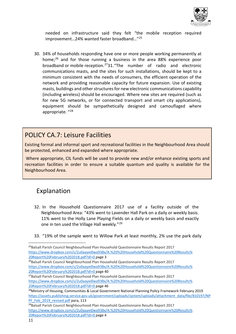

needed on infrastructure said they felt "the mobile reception required improvement…24% wanted faster broadband…"[25](#page-11-0)

30. 34% of households responding have one or more people working permanently at home; [26](#page-11-1) and for those running a business in the area 88% experience poor broadband or mobile reception.[273](#page-11-2)1."The number of radio and electronic communications masts, and the sites for such installations, should be kept to a minimum consistent with the needs of consumers, the efficient operation of the network and providing reasonable capacity for future expansion. Use of existing masts, buildings and other structures for new electronic communications capability (including wireless) should be encouraged. Where new sites are required (such as for new 5G networks, or for connected transport and smart city applications), equipment should be sympathetically designed and camouflaged where appropriate. "[28](#page-11-3)

#### POLICY CA.7: Leisure Facilities

Existing formal and informal sport and recreational facilities in the Neighbourhood Area should be protected, enhanced and expanded where appropriate.

Where appropriate, CIL funds will be used to provide new and/or enhance existing sports and recreation facilities in order to ensure a suitable quantum and quality is available for the Neighbourhood Area.

- 32. In the Household Questionnaire 2017 use of a facility outside of the Neighbourhood Area: "43% went to Lavender Hall Park on a daily or weekly basis. 11% went to the Holly Lane Playing Fields on a daily or weekly basis and exactly one in ten used the Village Hall weekly."[29](#page-11-4)
- 33. "19% of the sample went to Willow Park at least monthly, 2% use the park daily

<span id="page-11-0"></span><sup>&</sup>lt;sup>25</sup>Balsall Parish Council Neighbourhood Plan Household Questionnaire Results Report 2017 [https://www.dropbox.com/s/2u0aayei0wa938x/A.%20%20Household%20Questionnaire%20Results%](https://www.dropbox.com/s/2u0aayei0wa938x/A.%20%20Household%20Questionnaire%20Results%25) 20Report%20February%202018.pdf?dl=0 page 3<br><sup>26</sup>Balsall Parish Council Neighbourhood Plan Household Questionnaire Results Report 2017

<span id="page-11-1"></span>[https://www.dropbox.com/s/2u0aayei0wa938x/A.%20%20Household%20Questionnaire%20Results%](https://www.dropbox.com/s/2u0aayei0wa938x/A.%20%20Household%20Questionnaire%20Results%25) 20Report%20February%202018.pdf?dl=0 page 40

<span id="page-11-2"></span><sup>&</sup>lt;sup>27</sup>Balsall Parish Council Neighbourhood Plan Household Questionnaire Results Report 2017 [https://www.dropbox.com/s/2u0aayei0wa938x/A.%20%20Household%20Questionnaire%20Results%](https://www.dropbox.com/s/2u0aayei0wa938x/A.%20%20Household%20Questionnaire%20Results%25) 20Report%20February%202018.pdf?dl=0 page 46

<span id="page-11-3"></span><sup>&</sup>lt;sup>28</sup>Ministry of Housing, Communities & Local Government National Planning Policy Framework February 2019 [https://assets.publishing.service.gov.uk/government/uploads/system/uploads/attachment\\_data/file/810197/NP](https://assets.publishing.service.gov.uk/government/uploads/system/uploads/attachment_data/file/810197/NPPF_Feb_2019_revised.pdf) [PF\\_Feb\\_2019\\_revised.pdf](https://assets.publishing.service.gov.uk/government/uploads/system/uploads/attachment_data/file/810197/NPPF_Feb_2019_revised.pdf) para, 113

<span id="page-11-4"></span><sup>&</sup>lt;sup>29</sup>Balsall Parish Council Neighbourhood Plan Household Questionnaire Results Report 2017 [https://www.dropbox.com/s/2u0aayei0wa938x/A.%20%20Household%20Questionnaire%20Results%](https://www.dropbox.com/s/2u0aayei0wa938x/A.%20%20Household%20Questionnaire%20Results%25) 20Report%20February%202018.pdf?dl=0 page 4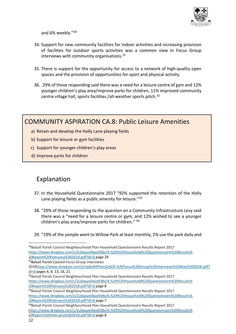

and 6% weekly."[30](#page-12-0)

- 34. Support for new community facilities for indoor activities and increasing provision of facilities for outdoor sports activities was a common view in Focus Group interviews with community organisations.<sup>[31](#page-12-1)</sup>
- 35. There is support for the opportunity for access to a network of high-quality open spaces and the provision of opportunities for sport and physical activity.
- 36. 29% of those responding said there was a need for a leisure centre of gym and 12% younger children's play area/improve parks for children, 11% improved community centre village hall, sports facilities /all-weather sports pitch.[32](#page-12-2)

#### COMMUNITY ASPIRATION CA.8: Public Leisure Amenities

- a) Retain and develop the Holly Lane playing fields
- b) Support for leisure or gym facilities
- c) Support for younger children's play areas
- d) Improve parks for children

#### Explanation

- 37. In the Household Questionnaire 2017 "92% supported the retention of the Holly Lane playing fields as a public amenity for leisure. $33$
- 38. "29% of those responding to the question on a Community Infrastructure Levy said there was a "need for a leisure centre or gym, and 12% wished to see a younger children's play area/improve parks for children." [34](#page-12-4)
- 39. "19% of the sample went to Willow Park at least monthly, 2% use the park daily and

<span id="page-12-1"></span>31Balsall Parish Council Focus Group Interviews

<span id="page-12-0"></span><sup>30</sup>Balsall Parish Council Neighbourhood Plan Household Questionnaire Results Report 2017 [https://www.dropbox.com/s/2u0aayei0wa938x/A.%20%20Household%20Questionnaire%20Results%](https://www.dropbox.com/s/2u0aayei0wa938x/A.%20%20Household%20Questionnaire%20Results%25) 20Report%20February%202018.pdf?dl=0 page 29

<sup>201</sup>[8https://www.dropbox.com/s/cipko04f4vmj2s6/E.%20Focus%20Group%20Interviews%20May%202018.pdf?](https://www.dropbox.com/s/cipko04f4vmj2s6/E.%20Focus%20Group%20Interviews%20May%202018.pdf) dl=0 pages 4, 6. 13, 16, 21

<span id="page-12-2"></span><sup>&</sup>lt;sup>32</sup>Balsall Parish Council Neighbourhood Plan Household Questionnaire Results Report 2017 [https://www.dropbox.com/s/2u0aayei0wa938x/A.%20%20Household%20Questionnaire%20Results%](https://www.dropbox.com/s/2u0aayei0wa938x/A.%20%20Household%20Questionnaire%20Results%25)

<span id="page-12-3"></span><sup>20</sup>Report%20February%202018.pdf?dl=0 page 8<br><sup>33</sup>Balsall Parish Council Neighbourhood Plan Household Questionnaire Results Report 2017 [https://www.dropbox.com/s/2u0aayei0wa938x/A.%20%20Household%20Questionnaire%20Results%](https://www.dropbox.com/s/2u0aayei0wa938x/A.%20%20Household%20Questionnaire%20Results%25)

<span id="page-12-4"></span><sup>&</sup>lt;sup>34</sup>Balsall Parish Council Neighbourhood Plan Household Questionnaire Results Report 2017 [https://www.dropbox.com/s/2u0aayei0wa938x/A.%20%20Household%20Questionnaire%20Results%](https://www.dropbox.com/s/2u0aayei0wa938x/A.%20%20Household%20Questionnaire%20Results%25) 20Report%20February%202018.pdf?dl=0 page 8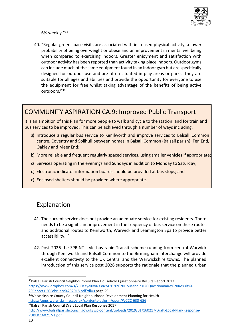

6% weekly."[35](#page-13-0)

40. "Regular green space visits are associated with increased physical activity, a lower probability of being overweight or obese and an improvement in mental wellbeing when compared to exercising indoors. Greater enjoyment and satisfaction with outdoor activity has been reported than activity taking place indoors. Outdoor gyms can include much of the same equipment found in an indoor gym but are specifically designed for outdoor use and are often situated in play areas or parks. They are suitable for all ages and abilities and provide the opportunity for everyone to use the equipment for free whilst taking advantage of the benefits of being active outdoors."[36](#page-13-1)

#### COMMUNITY ASPIRATION CA.9: Improved Public Transport

It is an ambition of this Plan for more people to walk and cycle to the station, and for train and bus services to be improved. This can be achieved through a number of ways including:

- a) Introduce a regular bus service to Kenilworth and improve services to Balsall Common centre, Coventry and Solihull between homes in Balsall Common (Balsall parish), Fen End, Oakley and Meer End;
- b) More reliable and frequent regularly spaced services, using smaller vehicles if appropriate;
- c) Services operating in the evenings and Sundays in addition to Monday to Saturday;
- d) Electronic indicator information boards should be provided at bus stops; and
- e) Enclosed shelters should be provided where appropriate.

- 41. The current service does not provide an adequate service for existing residents. There needs to be a significant improvement in the frequency of bus service on these routes and additional routes to Kenilworth, Warwick and Leamington Spa to provide better accessibility.[37](#page-13-2)
- 42. Post 2026 the SPRINT style bus rapid Transit scheme running from central Warwick through Kenilworth and Balsall Common to the Birmingham interchange will provide excellent connectivity to the UK Central and the Warwickshire towns. The planned introduction of this service post 2026 supports the rationale that the planned urban

<span id="page-13-0"></span><sup>35</sup>Balsall Parish Council Neighbourhood Plan Household Questionnaire Results Report 2017 [https://www.dropbox.com/s/2u0aayei0wa938x/A.%20%20Household%20Questionnaire%20Results%](https://www.dropbox.com/s/2u0aayei0wa938x/A.%20%20Household%20Questionnaire%20Results%25) 20Report%20February%202018.pdf?dl=0 page 29

<span id="page-13-1"></span><sup>36</sup>Warwickshire County Council Neighbourhood Development Planning for Health <https://apps.warwickshire.gov.uk/contentplatform/open/WCCC-630-656> 37Balsall Parish Council Draft Local Plan Response 2017

<span id="page-13-2"></span>[http://www.balsallparishcouncil.gov.uk/wp-content/uploads/2019/01/160217-Draft-Local-Plan-Response-](http://www.balsallparishcouncil.gov.uk/wp-content/uploads/2019/01/160217-Draft-Local-Plan-Response-PUBLIC160217-1.pdf)[PUBLIC160217-1.pdf](http://www.balsallparishcouncil.gov.uk/wp-content/uploads/2019/01/160217-Draft-Local-Plan-Response-PUBLIC160217-1.pdf)